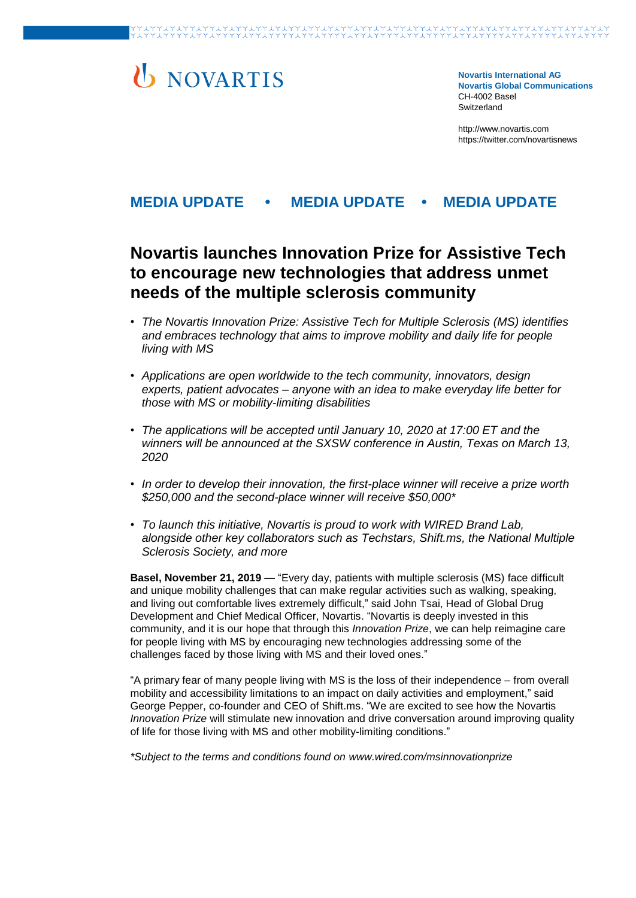# **U** NOVARTIS

**Novartis International AG Novartis Global Communications**  CH-4002 Basel Switzerland

[http://www.novartis.com](http://www.novartis.com/) https://twitter.com/novartisnews

# **MEDIA UPDATE • MEDIA UPDATE • MEDIA UPDATE**

# **Novartis launches Innovation Prize for Assistive Tech to encourage new technologies that address unmet needs of the multiple sclerosis community**

- *The Novartis Innovation Prize: Assistive Tech for Multiple Sclerosis (MS) identifies and embraces technology that aims to improve mobility and daily life for people living with MS*
- *Applications are open worldwide to the tech community, innovators, design experts, patient advocates – anyone with an idea to make everyday life better for those with MS or mobility-limiting disabilities*
- *The applications will be accepted until January 10, 2020 at 17:00 ET and the winners will be announced at the SXSW conference in Austin, Texas on March 13, 2020*
- *In order to develop their innovation, the first-place winner will receive a prize worth \$250,000 and the second-place winner will receive \$50,000\**
- *To launch this initiative, Novartis is proud to work with WIRED Brand Lab, alongside other key collaborators such as Techstars, Shift.ms, the National Multiple Sclerosis Society, and more*

**Basel, November 21, 2019** — "Every day, patients with multiple sclerosis (MS) face difficult and unique mobility challenges that can make regular activities such as walking, speaking, and living out comfortable lives extremely difficult," said John Tsai, Head of Global Drug Development and Chief Medical Officer, Novartis. "Novartis is deeply invested in this community, and it is our hope that through this *Innovation Prize*, we can help reimagine care for people living with MS by encouraging new technologies addressing some of the challenges faced by those living with MS and their loved ones."

"A primary fear of many people living with MS is the loss of their independence – from overall mobility and accessibility limitations to an impact on daily activities and employment," said George Pepper, co-founder and CEO of Shift.ms. "We are excited to see how the Novartis *Innovation Prize* will stimulate new innovation and drive conversation around improving quality of life for those living with MS and other mobility-limiting conditions."

*\*Subject to the terms and conditions found on www.wired.com/msinnovationprize*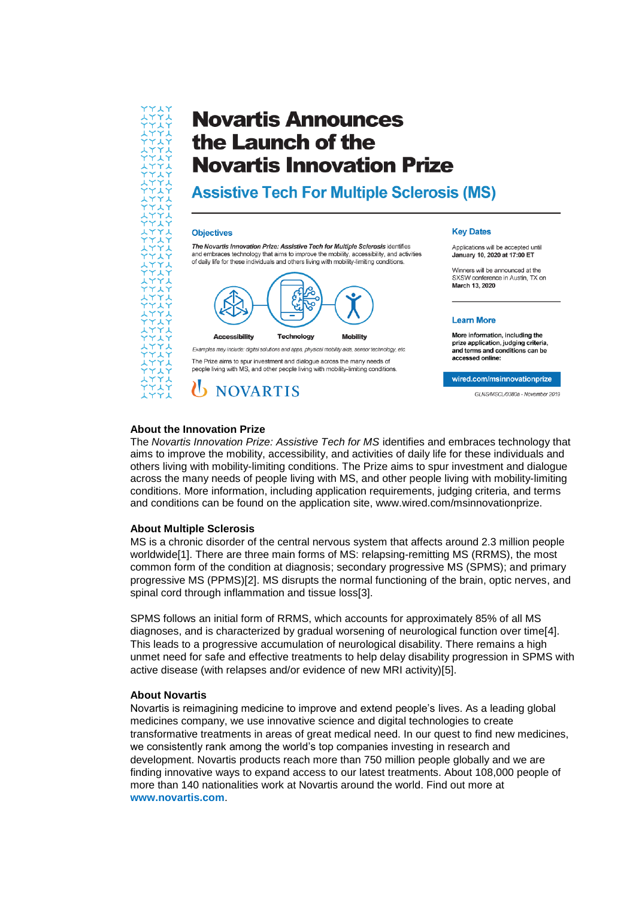# **Novartis Announces** the Launch of the **Novartis Innovation Prize**

**Assistive Tech For Multiple Sclerosis (MS)** 

#### **Objectives**

The Novartis Innovation Prize: Assistive Tech for Multiple Sclerosis identifies and embraces technology that aims to improve the mobility, accessibility, and activities of daily life for these individuals and others living with mobility-limiting conditions.



**Accessibility Technology** 

Examples may include: digital solutions and apps, physical mobility aids, sensor technology, etc The Prize aims to spur investment and dialogue across the many needs of people living with MS, and other people living with mobility-limiting conditions



#### **Key Dates**

Applications will be accepted until January 10, 2020 at 17:00 ET

Winners will be announced at the SXSW conference in Austin, TX on March 13, 2020

#### **Learn More**

More information, including the prize application, judging criteria,<br>and terms and conditions can be accessed online

#### wired.com/msinnovationprize

GLNS/MSCL/0380a - November 2019

### **About the Innovation Prize**

The *Novartis Innovation Prize: Assistive Tech for MS* identifies and embraces technology that aims to improve the mobility, accessibility, and activities of daily life for these individuals and others living with mobility-limiting conditions. The Prize aims to spur investment and dialogue across the many needs of people living with MS, and other people living with mobility-limiting conditions. More information, including application requirements, judging criteria, and terms and conditions can be found on the application site, www.wired.com/msinnovationprize.

## **About Multiple Sclerosis**

MS is a chronic disorder of the central nervous system that affects around 2.3 million people worldwide[1]. There are three main forms of MS: relapsing-remitting MS (RRMS), the most common form of the condition at diagnosis; secondary progressive MS (SPMS); and primary progressive MS (PPMS)[2]. MS disrupts the normal functioning of the brain, optic nerves, and spinal cord through inflammation and tissue loss[3].

SPMS follows an initial form of RRMS, which accounts for approximately 85% of all MS diagnoses, and is characterized by gradual worsening of neurological function over time[4]. This leads to a progressive accumulation of neurological disability. There remains a high unmet need for safe and effective treatments to help delay disability progression in SPMS with active disease (with relapses and/or evidence of new MRI activity)[5].

## **About Novartis**

Novartis is reimagining medicine to improve and extend people's lives. As a leading global medicines company, we use innovative science and digital technologies to create transformative treatments in areas of great medical need. In our quest to find new medicines, we consistently rank among the world's top companies investing in research and development. Novartis products reach more than 750 million people globally and we are finding innovative ways to expand access to our latest treatments. About 108,000 people of more than 140 nationalities work at Novartis around the world. Find out more at **[www.novartis.com](http://www.novartis.com/)**.